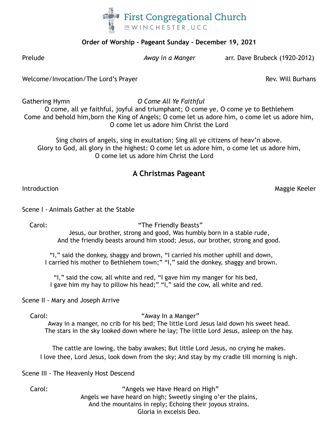

## **Order of Worship - Pageant Sunday - December 19, 2021**

Prelude *Away in a Manger* arr. Dave Brubeck (1920-2012)

Welcome/Invocation/The Lord's Prayer Rev. Will Burhans

Gathering Hymn *O Come All Ye Faithful* O come, all ye faithful, joyful and triumphant; O come ye, O come ye to Bethlehem Come and behold him,born the King of Angels; O come let us adore him, o come let us adore him, O come let us adore him Christ the Lord

Sing choirs of angels, sing in exultation; Sing all ye citizens of heav'n above. Glory to God, all glory in the highest: O come let us adore him, o come let us adore him, O come let us adore him Christ the Lord

# **A Christmas Pageant**

Introduction Maggie Keeler

## Scene I - Animals Gather at the Stable

Carol: Carol: The Friendly Beasts"

Jesus, our brother, strong and good, Was humbly born in a stable rude, And the friendly beasts around him stood; Jesus, our brother, strong and good.

"I," said the donkey, shaggy and brown, "I carried his mother uphill and down, I carried his mother to Bethlehem town;" "I," said the donkey, shaggy and brown.

"I," said the cow, all white and red, "I gave him my manger for his bed, I gave him my hay to pillow his head;" "I," said the cow, all white and red.

Scene II - Mary and Joseph Arrive

### Carol: "Away In a Manger"

Away in a manger, no crib for his bed; The little Lord Jesus laid down his sweet head. The stars in the sky looked down where he lay; The little Lord Jesus, asleep on the hay.

The cattle are lowing, the baby awakes; But little Lord Jesus, no crying he makes. I love thee, Lord Jesus, look down from the sky; And stay by my cradle till morning is nigh.

Scene III - The Heavenly Host Descend

Carol: "Angels we Have Heard on High" Angels we have heard on high; Sweetly singing o'er the plains, And the mountains in reply; Echoing their joyous strains. Gloria in excelsis Deo.